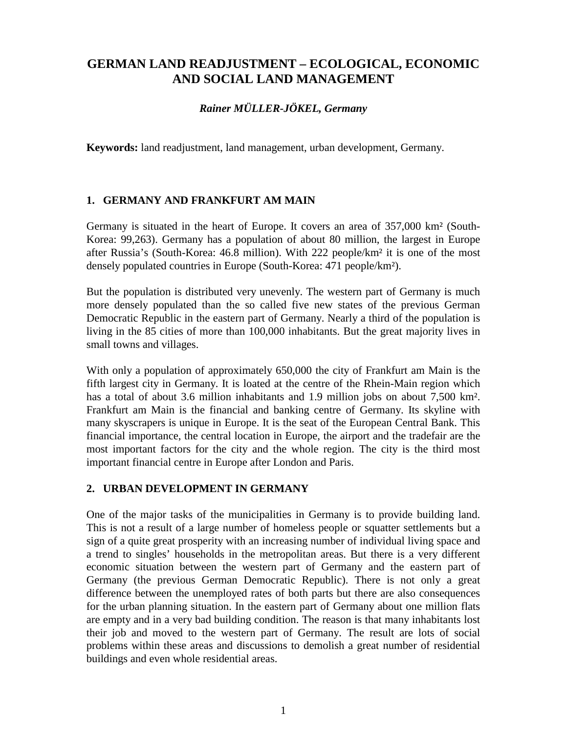# **GERMAN LAND READJUSTMENT – ECOLOGICAL, ECONOMIC AND SOCIAL LAND MANAGEMENT**

#### *Rainer MÜLLER-JÖKEL, Germany*

**Keywords:** land readjustment, land management, urban development, Germany.

#### **1. GERMANY AND FRANKFURT AM MAIN**

Germany is situated in the heart of Europe. It covers an area of 357,000 km² (South-Korea: 99,263). Germany has a population of about 80 million, the largest in Europe after Russia's (South-Korea: 46.8 million). With 222 people/km² it is one of the most densely populated countries in Europe (South-Korea: 471 people/km²).

But the population is distributed very unevenly. The western part of Germany is much more densely populated than the so called five new states of the previous German Democratic Republic in the eastern part of Germany. Nearly a third of the population is living in the 85 cities of more than 100,000 inhabitants. But the great majority lives in small towns and villages.

With only a population of approximately 650,000 the city of Frankfurt am Main is the fifth largest city in Germany. It is loated at the centre of the Rhein-Main region which has a total of about 3.6 million inhabitants and 1.9 million jobs on about 7,500 km². Frankfurt am Main is the financial and banking centre of Germany. Its skyline with many skyscrapers is unique in Europe. It is the seat of the European Central Bank. This financial importance, the central location in Europe, the airport and the tradefair are the most important factors for the city and the whole region. The city is the third most important financial centre in Europe after London and Paris.

### **2. URBAN DEVELOPMENT IN GERMANY**

One of the major tasks of the municipalities in Germany is to provide building land. This is not a result of a large number of homeless people or squatter settlements but a sign of a quite great prosperity with an increasing number of individual living space and a trend to singles' households in the metropolitan areas. But there is a very different economic situation between the western part of Germany and the eastern part of Germany (the previous German Democratic Republic). There is not only a great difference between the unemployed rates of both parts but there are also consequences for the urban planning situation. In the eastern part of Germany about one million flats are empty and in a very bad building condition. The reason is that many inhabitants lost their job and moved to the western part of Germany. The result are lots of social problems within these areas and discussions to demolish a great number of residential buildings and even whole residential areas.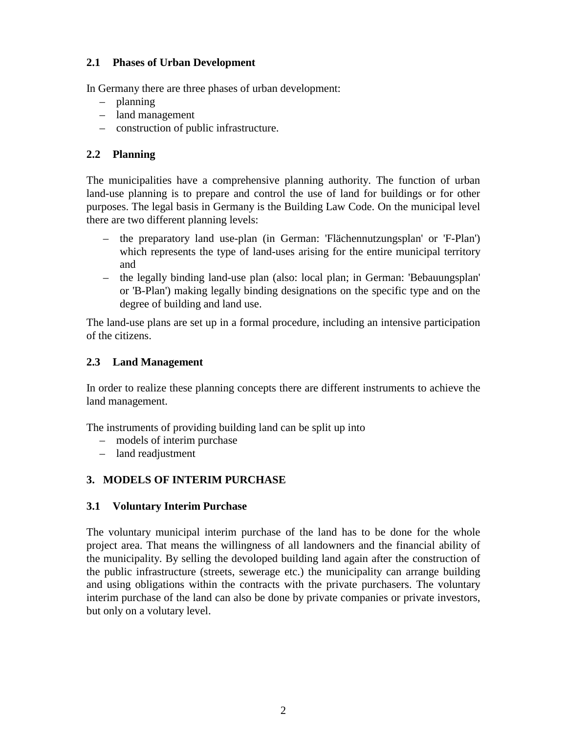### **2.1 Phases of Urban Development**

In Germany there are three phases of urban development:

- planning
- land management
- construction of public infrastructure.

# **2.2 Planning**

The municipalities have a comprehensive planning authority. The function of urban land-use planning is to prepare and control the use of land for buildings or for other purposes. The legal basis in Germany is the Building Law Code. On the municipal level there are two different planning levels:

- the preparatory land use-plan (in German: 'Flächennutzungsplan' or 'F-Plan') which represents the type of land-uses arising for the entire municipal territory and
- the legally binding land-use plan (also: local plan; in German: 'Bebauungsplan' or 'B-Plan') making legally binding designations on the specific type and on the degree of building and land use.

The land-use plans are set up in a formal procedure, including an intensive participation of the citizens.

### **2.3 Land Management**

In order to realize these planning concepts there are different instruments to achieve the land management.

The instruments of providing building land can be split up into

- models of interim purchase
- land readjustment

# **3. MODELS OF INTERIM PURCHASE**

# **3.1 Voluntary Interim Purchase**

The voluntary municipal interim purchase of the land has to be done for the whole project area. That means the willingness of all landowners and the financial ability of the municipality. By selling the devoloped building land again after the construction of the public infrastructure (streets, sewerage etc.) the municipality can arrange building and using obligations within the contracts with the private purchasers. The voluntary interim purchase of the land can also be done by private companies or private investors, but only on a volutary level.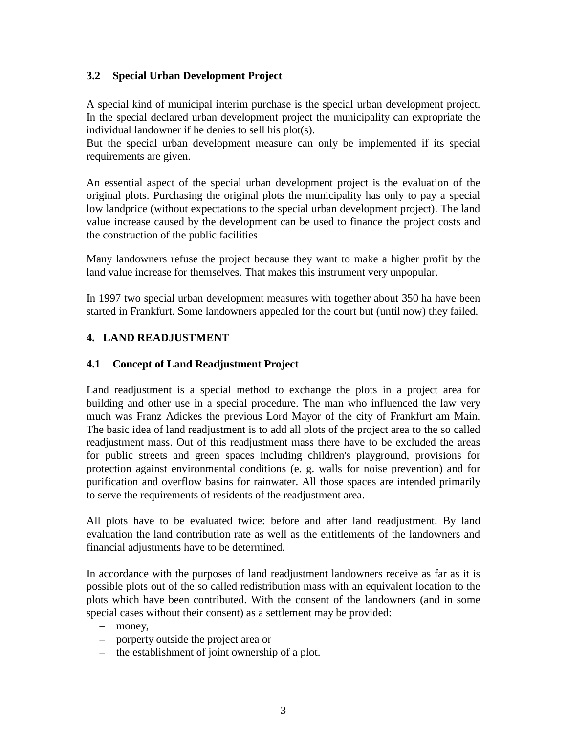### **3.2 Special Urban Development Project**

A special kind of municipal interim purchase is the special urban development project. In the special declared urban development project the municipality can expropriate the individual landowner if he denies to sell his plot(s).

But the special urban development measure can only be implemented if its special requirements are given.

An essential aspect of the special urban development project is the evaluation of the original plots. Purchasing the original plots the municipality has only to pay a special low landprice (without expectations to the special urban development project). The land value increase caused by the development can be used to finance the project costs and the construction of the public facilities

Many landowners refuse the project because they want to make a higher profit by the land value increase for themselves. That makes this instrument very unpopular.

In 1997 two special urban development measures with together about 350 ha have been started in Frankfurt. Some landowners appealed for the court but (until now) they failed.

### **4. LAND READJUSTMENT**

### **4.1 Concept of Land Readjustment Project**

Land readjustment is a special method to exchange the plots in a project area for building and other use in a special procedure. The man who influenced the law very much was Franz Adickes the previous Lord Mayor of the city of Frankfurt am Main. The basic idea of land readjustment is to add all plots of the project area to the so called readjustment mass. Out of this readjustment mass there have to be excluded the areas for public streets and green spaces including children's playground, provisions for protection against environmental conditions (e. g. walls for noise prevention) and for purification and overflow basins for rainwater. All those spaces are intended primarily to serve the requirements of residents of the readjustment area.

All plots have to be evaluated twice: before and after land readjustment. By land evaluation the land contribution rate as well as the entitlements of the landowners and financial adjustments have to be determined.

In accordance with the purposes of land readjustment landowners receive as far as it is possible plots out of the so called redistribution mass with an equivalent location to the plots which have been contributed. With the consent of the landowners (and in some special cases without their consent) as a settlement may be provided:

- money,
- porperty outside the project area or
- the establishment of joint ownership of a plot.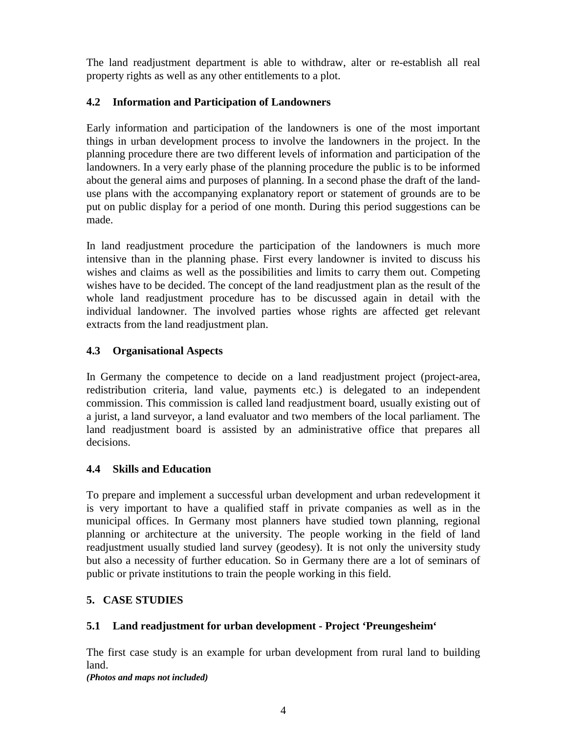The land readjustment department is able to withdraw, alter or re-establish all real property rights as well as any other entitlements to a plot.

### **4.2 Information and Participation of Landowners**

Early information and participation of the landowners is one of the most important things in urban development process to involve the landowners in the project. In the planning procedure there are two different levels of information and participation of the landowners. In a very early phase of the planning procedure the public is to be informed about the general aims and purposes of planning. In a second phase the draft of the landuse plans with the accompanying explanatory report or statement of grounds are to be put on public display for a period of one month. During this period suggestions can be made.

In land readjustment procedure the participation of the landowners is much more intensive than in the planning phase. First every landowner is invited to discuss his wishes and claims as well as the possibilities and limits to carry them out. Competing wishes have to be decided. The concept of the land readjustment plan as the result of the whole land readjustment procedure has to be discussed again in detail with the individual landowner. The involved parties whose rights are affected get relevant extracts from the land readjustment plan.

### **4.3 Organisational Aspects**

In Germany the competence to decide on a land readjustment project (project-area, redistribution criteria, land value, payments etc.) is delegated to an independent commission. This commission is called land readjustment board, usually existing out of a jurist, a land surveyor, a land evaluator and two members of the local parliament. The land readjustment board is assisted by an administrative office that prepares all decisions.

### **4.4 Skills and Education**

To prepare and implement a successful urban development and urban redevelopment it is very important to have a qualified staff in private companies as well as in the municipal offices. In Germany most planners have studied town planning, regional planning or architecture at the university. The people working in the field of land readjustment usually studied land survey (geodesy). It is not only the university study but also a necessity of further education. So in Germany there are a lot of seminars of public or private institutions to train the people working in this field.

### **5. CASE STUDIES**

# **5.1 Land readjustment for urban development - Project 'Preungesheim'**

The first case study is an example for urban development from rural land to building land.

*(Photos and maps not included)*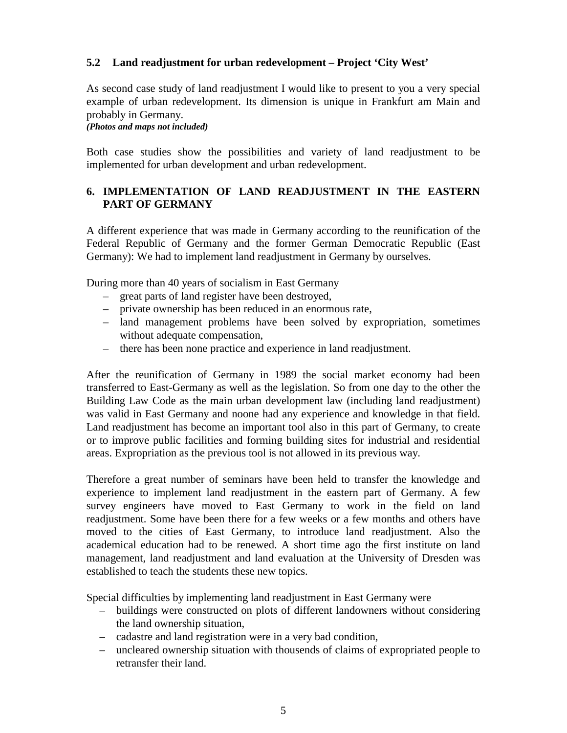### **5.2 Land readjustment for urban redevelopment – Project 'City West'**

As second case study of land readjustment I would like to present to you a very special example of urban redevelopment. Its dimension is unique in Frankfurt am Main and probably in Germany.

*(Photos and maps not included)*

Both case studies show the possibilities and variety of land readjustment to be implemented for urban development and urban redevelopment.

### **6. IMPLEMENTATION OF LAND READJUSTMENT IN THE EASTERN PART OF GERMANY**

A different experience that was made in Germany according to the reunification of the Federal Republic of Germany and the former German Democratic Republic (East Germany): We had to implement land readjustment in Germany by ourselves.

During more than 40 years of socialism in East Germany

- great parts of land register have been destroyed,
- private ownership has been reduced in an enormous rate,
- land management problems have been solved by expropriation, sometimes without adequate compensation,
- there has been none practice and experience in land readjustment.

After the reunification of Germany in 1989 the social market economy had been transferred to East-Germany as well as the legislation. So from one day to the other the Building Law Code as the main urban development law (including land readjustment) was valid in East Germany and noone had any experience and knowledge in that field. Land readjustment has become an important tool also in this part of Germany, to create or to improve public facilities and forming building sites for industrial and residential areas. Expropriation as the previous tool is not allowed in its previous way.

Therefore a great number of seminars have been held to transfer the knowledge and experience to implement land readjustment in the eastern part of Germany. A few survey engineers have moved to East Germany to work in the field on land readjustment. Some have been there for a few weeks or a few months and others have moved to the cities of East Germany, to introduce land readjustment. Also the academical education had to be renewed. A short time ago the first institute on land management, land readjustment and land evaluation at the University of Dresden was established to teach the students these new topics.

Special difficulties by implementing land readjustment in East Germany were

- buildings were constructed on plots of different landowners without considering the land ownership situation,
- cadastre and land registration were in a very bad condition,
- uncleared ownership situation with thousends of claims of expropriated people to retransfer their land.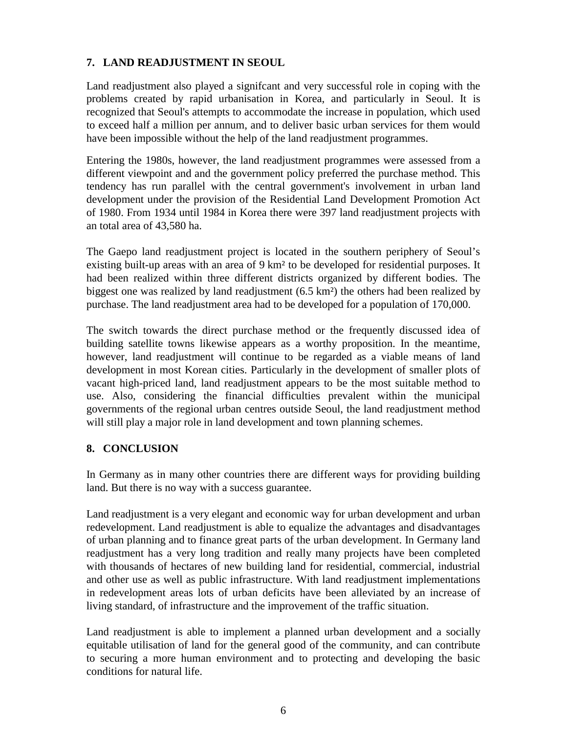### **7. LAND READJUSTMENT IN SEOUL**

Land readjustment also played a signifcant and very successful role in coping with the problems created by rapid urbanisation in Korea, and particularly in Seoul. It is recognized that Seoul's attempts to accommodate the increase in population, which used to exceed half a million per annum, and to deliver basic urban services for them would have been impossible without the help of the land readjustment programmes.

Entering the 1980s, however, the land readjustment programmes were assessed from a different viewpoint and and the government policy preferred the purchase method. This tendency has run parallel with the central government's involvement in urban land development under the provision of the Residential Land Development Promotion Act of 1980. From 1934 until 1984 in Korea there were 397 land readjustment projects with an total area of 43,580 ha.

The Gaepo land readjustment project is located in the southern periphery of Seoul's existing built-up areas with an area of 9 km² to be developed for residential purposes. It had been realized within three different districts organized by different bodies. The biggest one was realized by land readjustment (6.5 km²) the others had been realized by purchase. The land readjustment area had to be developed for a population of 170,000.

The switch towards the direct purchase method or the frequently discussed idea of building satellite towns likewise appears as a worthy proposition. In the meantime, however, land readjustment will continue to be regarded as a viable means of land development in most Korean cities. Particularly in the development of smaller plots of vacant high-priced land, land readjustment appears to be the most suitable method to use. Also, considering the financial difficulties prevalent within the municipal governments of the regional urban centres outside Seoul, the land readjustment method will still play a major role in land development and town planning schemes.

### **8. CONCLUSION**

In Germany as in many other countries there are different ways for providing building land. But there is no way with a success guarantee.

Land readjustment is a very elegant and economic way for urban development and urban redevelopment. Land readjustment is able to equalize the advantages and disadvantages of urban planning and to finance great parts of the urban development. In Germany land readjustment has a very long tradition and really many projects have been completed with thousands of hectares of new building land for residential, commercial, industrial and other use as well as public infrastructure. With land readjustment implementations in redevelopment areas lots of urban deficits have been alleviated by an increase of living standard, of infrastructure and the improvement of the traffic situation.

Land readjustment is able to implement a planned urban development and a socially equitable utilisation of land for the general good of the community, and can contribute to securing a more human environment and to protecting and developing the basic conditions for natural life.